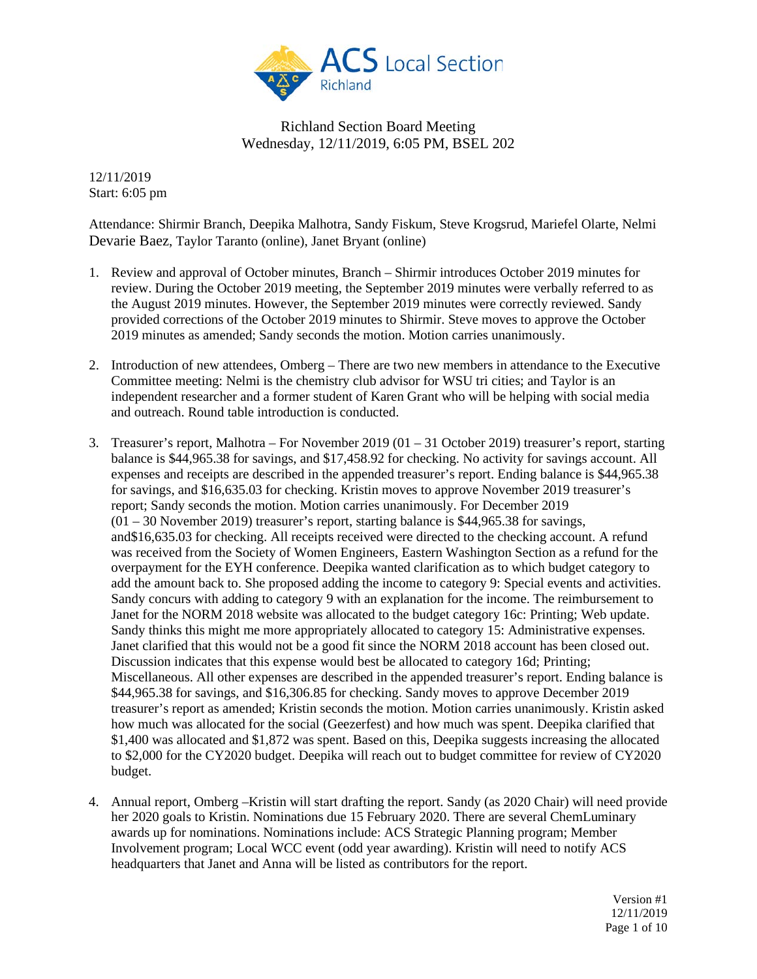

12/11/2019 Start: 6:05 pm

Attendance: Shirmir Branch, Deepika Malhotra, Sandy Fiskum, Steve Krogsrud, Mariefel Olarte, Nelmi Devarie Baez, Taylor Taranto (online), Janet Bryant (online)

- 1. Review and approval of October minutes, Branch Shirmir introduces October 2019 minutes for review. During the October 2019 meeting, the September 2019 minutes were verbally referred to as the August 2019 minutes. However, the September 2019 minutes were correctly reviewed. Sandy provided corrections of the October 2019 minutes to Shirmir. Steve moves to approve the October 2019 minutes as amended; Sandy seconds the motion. Motion carries unanimously.
- 2. Introduction of new attendees, Omberg There are two new members in attendance to the Executive Committee meeting: Nelmi is the chemistry club advisor for WSU tri cities; and Taylor is an independent researcher and a former student of Karen Grant who will be helping with social media and outreach. Round table introduction is conducted.
- 3. Treasurer's report, Malhotra For November 2019 (01 31 October 2019) treasurer's report, starting balance is \$44,965.38 for savings, and \$17,458.92 for checking. No activity for savings account. All expenses and receipts are described in the appended treasurer's report. Ending balance is \$44,965.38 for savings, and \$16,635.03 for checking. Kristin moves to approve November 2019 treasurer's report; Sandy seconds the motion. Motion carries unanimously. For December 2019 (01 – 30 November 2019) treasurer's report, starting balance is \$44,965.38 for savings, and\$16,635.03 for checking. All receipts received were directed to the checking account. A refund was received from the Society of Women Engineers, Eastern Washington Section as a refund for the overpayment for the EYH conference. Deepika wanted clarification as to which budget category to add the amount back to. She proposed adding the income to category 9: Special events and activities. Sandy concurs with adding to category 9 with an explanation for the income. The reimbursement to Janet for the NORM 2018 website was allocated to the budget category 16c: Printing; Web update. Sandy thinks this might me more appropriately allocated to category 15: Administrative expenses. Janet clarified that this would not be a good fit since the NORM 2018 account has been closed out. Discussion indicates that this expense would best be allocated to category 16d; Printing; Miscellaneous. All other expenses are described in the appended treasurer's report. Ending balance is \$44,965.38 for savings, and \$16,306.85 for checking. Sandy moves to approve December 2019 treasurer's report as amended; Kristin seconds the motion. Motion carries unanimously. Kristin asked how much was allocated for the social (Geezerfest) and how much was spent. Deepika clarified that \$1,400 was allocated and \$1,872 was spent. Based on this, Deepika suggests increasing the allocated to \$2,000 for the CY2020 budget. Deepika will reach out to budget committee for review of CY2020 budget.
- 4. Annual report, Omberg –Kristin will start drafting the report. Sandy (as 2020 Chair) will need provide her 2020 goals to Kristin. Nominations due 15 February 2020. There are several ChemLuminary awards up for nominations. Nominations include: ACS Strategic Planning program; Member Involvement program; Local WCC event (odd year awarding). Kristin will need to notify ACS headquarters that Janet and Anna will be listed as contributors for the report.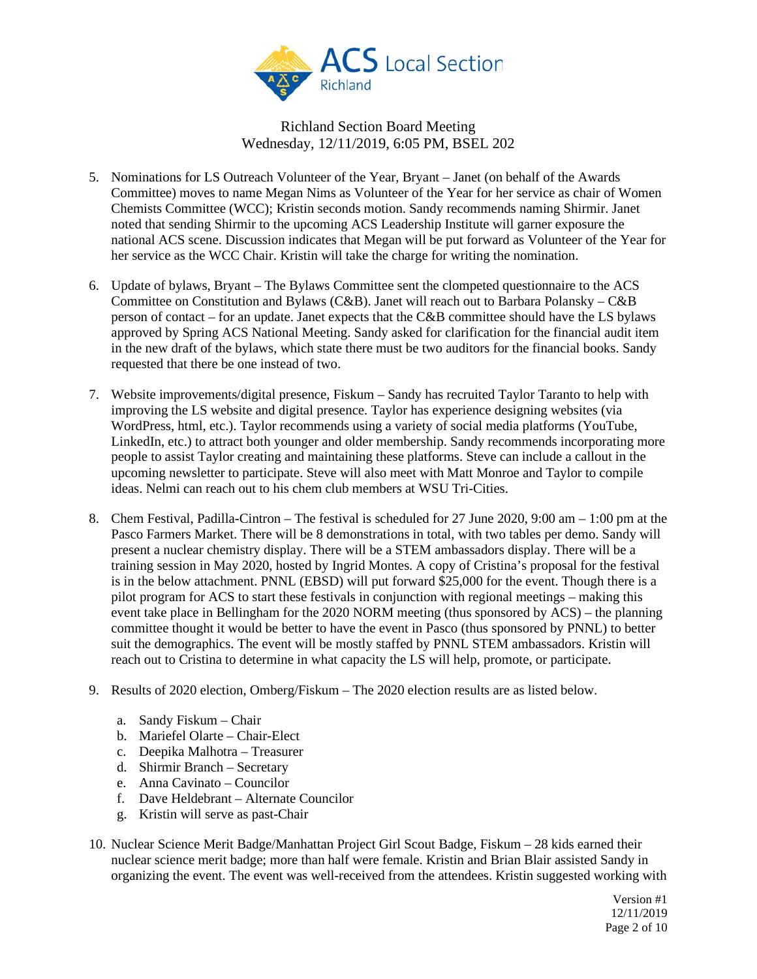

- 5. Nominations for LS Outreach Volunteer of the Year, Bryant Janet (on behalf of the Awards Committee) moves to name Megan Nims as Volunteer of the Year for her service as chair of Women Chemists Committee (WCC); Kristin seconds motion. Sandy recommends naming Shirmir. Janet noted that sending Shirmir to the upcoming ACS Leadership Institute will garner exposure the national ACS scene. Discussion indicates that Megan will be put forward as Volunteer of the Year for her service as the WCC Chair. Kristin will take the charge for writing the nomination.
- 6. Update of bylaws, Bryant The Bylaws Committee sent the clompeted questionnaire to the ACS Committee on Constitution and Bylaws (C&B). Janet will reach out to Barbara Polansky – C&B person of contact – for an update. Janet expects that the C&B committee should have the LS bylaws approved by Spring ACS National Meeting. Sandy asked for clarification for the financial audit item in the new draft of the bylaws, which state there must be two auditors for the financial books. Sandy requested that there be one instead of two.
- 7. Website improvements/digital presence, Fiskum Sandy has recruited Taylor Taranto to help with improving the LS website and digital presence. Taylor has experience designing websites (via WordPress, html, etc.). Taylor recommends using a variety of social media platforms (YouTube, LinkedIn, etc.) to attract both younger and older membership. Sandy recommends incorporating more people to assist Taylor creating and maintaining these platforms. Steve can include a callout in the upcoming newsletter to participate. Steve will also meet with Matt Monroe and Taylor to compile ideas. Nelmi can reach out to his chem club members at WSU Tri-Cities.
- 8. Chem Festival, Padilla-Cintron The festival is scheduled for 27 June 2020, 9:00 am 1:00 pm at the Pasco Farmers Market. There will be 8 demonstrations in total, with two tables per demo. Sandy will present a nuclear chemistry display. There will be a STEM ambassadors display. There will be a training session in May 2020, hosted by Ingrid Montes. A copy of Cristina's proposal for the festival is in the below attachment. PNNL (EBSD) will put forward \$25,000 for the event. Though there is a pilot program for ACS to start these festivals in conjunction with regional meetings – making this event take place in Bellingham for the 2020 NORM meeting (thus sponsored by ACS) – the planning committee thought it would be better to have the event in Pasco (thus sponsored by PNNL) to better suit the demographics. The event will be mostly staffed by PNNL STEM ambassadors. Kristin will reach out to Cristina to determine in what capacity the LS will help, promote, or participate.
- 9. Results of 2020 election, Omberg/Fiskum The 2020 election results are as listed below.
	- a. Sandy Fiskum Chair
	- b. Mariefel Olarte Chair-Elect
	- c. Deepika Malhotra Treasurer
	- d. Shirmir Branch Secretary
	- e. Anna Cavinato Councilor
	- f. Dave Heldebrant Alternate Councilor
	- g. Kristin will serve as past-Chair
- 10. Nuclear Science Merit Badge/Manhattan Project Girl Scout Badge, Fiskum 28 kids earned their nuclear science merit badge; more than half were female. Kristin and Brian Blair assisted Sandy in organizing the event. The event was well-received from the attendees. Kristin suggested working with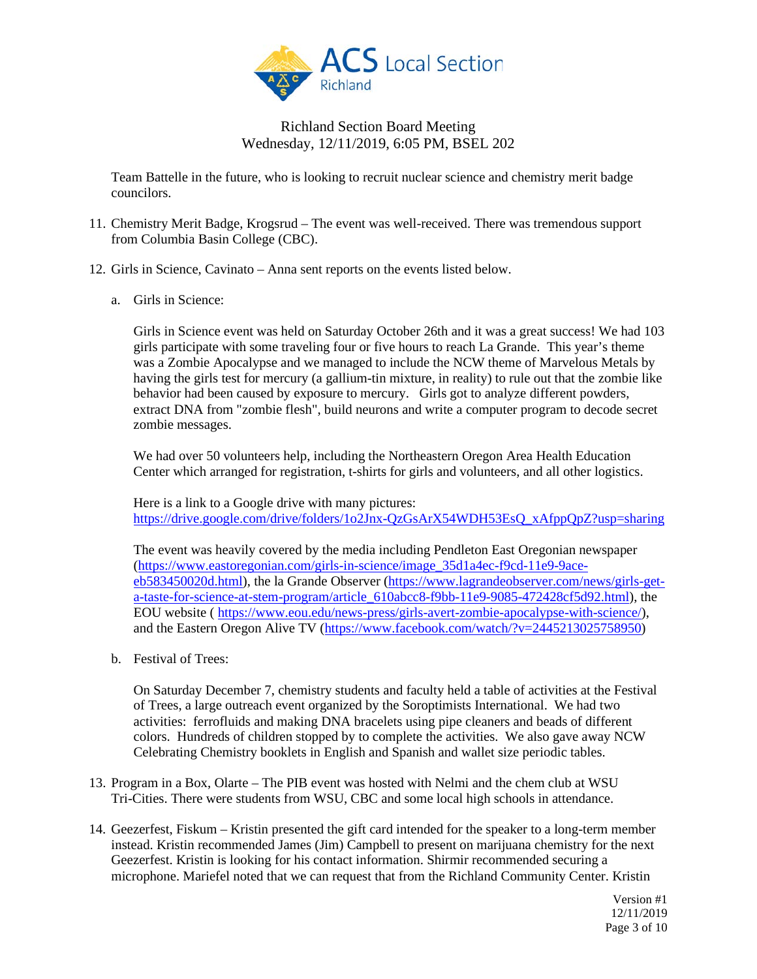

Team Battelle in the future, who is looking to recruit nuclear science and chemistry merit badge councilors.

- 11. Chemistry Merit Badge, Krogsrud The event was well-received. There was tremendous support from Columbia Basin College (CBC).
- 12. Girls in Science, Cavinato Anna sent reports on the events listed below.
	- a. Girls in Science:

Girls in Science event was held on Saturday October 26th and it was a great success! We had 103 girls participate with some traveling four or five hours to reach La Grande. This year's theme was a Zombie Apocalypse and we managed to include the NCW theme of Marvelous Metals by having the girls test for mercury (a gallium-tin mixture, in reality) to rule out that the zombie like behavior had been caused by exposure to mercury. Girls got to analyze different powders, extract DNA from "zombie flesh", build neurons and write a computer program to decode secret zombie messages.

We had over 50 volunteers help, including the Northeastern Oregon Area Health Education Center which arranged for registration, t-shirts for girls and volunteers, and all other logistics.

Here is a link to a Google drive with many pictures: https://drive.google.com/drive/folders/1o2Jnx-OzGsArX54WDH53EsO\_xAfppOpZ?usp=sharing

The event was heavily covered by the media including Pendleton East Oregonian newspaper [\(https://www.eastoregonian.com/girls-in-science/image\\_35d1a4ec-f9cd-11e9-9ace](https://www.eastoregonian.com/girls-in-science/image_35d1a4ec-f9cd-11e9-9ace-eb583450020d.html)[eb583450020d.html\)](https://www.eastoregonian.com/girls-in-science/image_35d1a4ec-f9cd-11e9-9ace-eb583450020d.html), the la Grande Observer [\(https://www.lagrandeobserver.com/news/girls-get](https://www.lagrandeobserver.com/news/girls-get-a-taste-for-science-at-stem-program/article_610abcc8-f9bb-11e9-9085-472428cf5d92.html)[a-taste-for-science-at-stem-program/article\\_610abcc8-f9bb-11e9-9085-472428cf5d92.html\)](https://www.lagrandeobserver.com/news/girls-get-a-taste-for-science-at-stem-program/article_610abcc8-f9bb-11e9-9085-472428cf5d92.html), the EOU website ( [https://www.eou.edu/news-press/girls-avert-zombie-apocalypse-with-science/\)](https://www.eou.edu/news-press/girls-avert-zombie-apocalypse-with-science/), and the Eastern Oregon Alive TV [\(https://www.facebook.com/watch/?v=2445213025758950\)](https://www.facebook.com/watch/?v=2445213025758950)

b. Festival of Trees:

On Saturday December 7, chemistry students and faculty held a table of activities at the Festival of Trees, a large outreach event organized by the Soroptimists International. We had two activities: ferrofluids and making DNA bracelets using pipe cleaners and beads of different colors. Hundreds of children stopped by to complete the activities. We also gave away NCW Celebrating Chemistry booklets in English and Spanish and wallet size periodic tables.

- 13. Program in a Box, Olarte The PIB event was hosted with Nelmi and the chem club at WSU Tri-Cities. There were students from WSU, CBC and some local high schools in attendance.
- 14. Geezerfest, Fiskum Kristin presented the gift card intended for the speaker to a long-term member instead. Kristin recommended James (Jim) Campbell to present on marijuana chemistry for the next Geezerfest. Kristin is looking for his contact information. Shirmir recommended securing a microphone. Mariefel noted that we can request that from the Richland Community Center. Kristin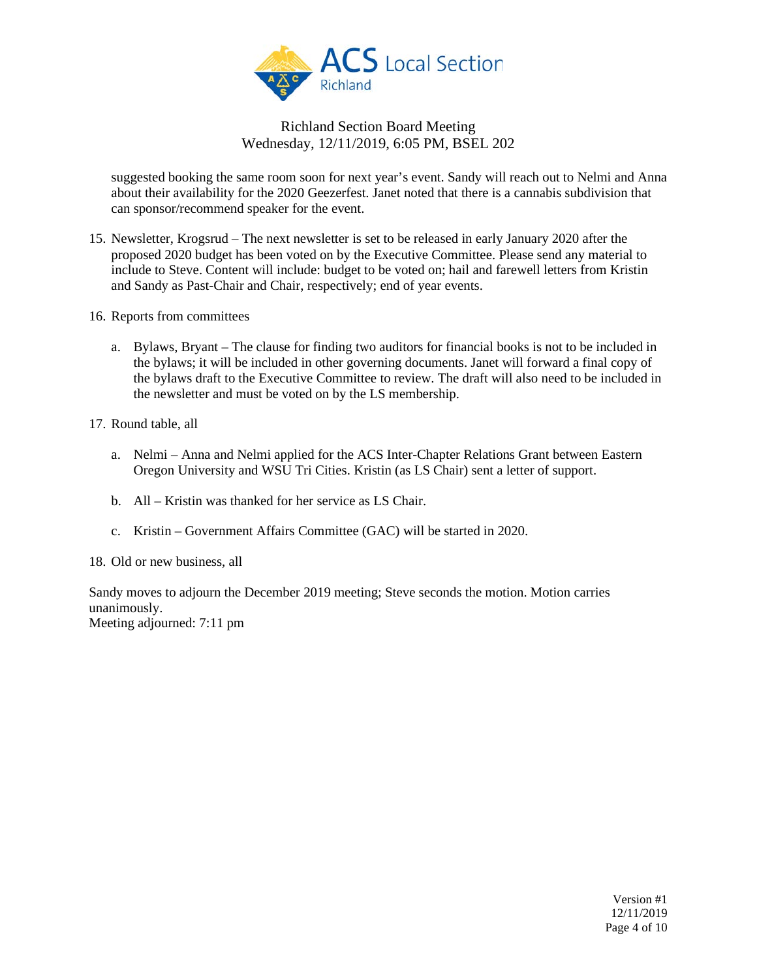

suggested booking the same room soon for next year's event. Sandy will reach out to Nelmi and Anna about their availability for the 2020 Geezerfest. Janet noted that there is a cannabis subdivision that can sponsor/recommend speaker for the event.

- 15. Newsletter, Krogsrud The next newsletter is set to be released in early January 2020 after the proposed 2020 budget has been voted on by the Executive Committee. Please send any material to include to Steve. Content will include: budget to be voted on; hail and farewell letters from Kristin and Sandy as Past-Chair and Chair, respectively; end of year events.
- 16. Reports from committees
	- a. Bylaws, Bryant The clause for finding two auditors for financial books is not to be included in the bylaws; it will be included in other governing documents. Janet will forward a final copy of the bylaws draft to the Executive Committee to review. The draft will also need to be included in the newsletter and must be voted on by the LS membership.
- 17. Round table, all
	- a. Nelmi Anna and Nelmi applied for the ACS Inter-Chapter Relations Grant between Eastern Oregon University and WSU Tri Cities. Kristin (as LS Chair) sent a letter of support.
	- b. All Kristin was thanked for her service as LS Chair.
	- c. Kristin Government Affairs Committee (GAC) will be started in 2020.

18. Old or new business, all

Sandy moves to adjourn the December 2019 meeting; Steve seconds the motion. Motion carries unanimously.

Meeting adjourned: 7:11 pm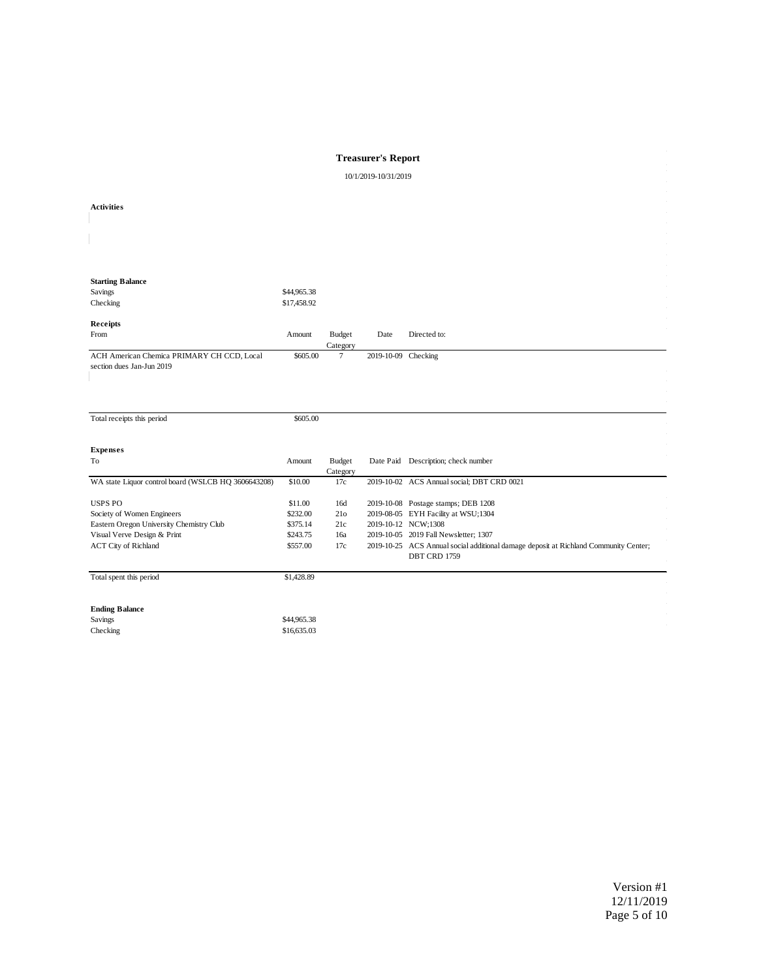#### **Treasurer's Report**

10/1/2019-10/31/2019

| <b>Activities</b>                                                       |                            |                           |                     |                                                                                                                               |
|-------------------------------------------------------------------------|----------------------------|---------------------------|---------------------|-------------------------------------------------------------------------------------------------------------------------------|
|                                                                         |                            |                           |                     |                                                                                                                               |
| <b>Starting Balance</b>                                                 |                            |                           |                     |                                                                                                                               |
| Savings<br>Checking                                                     | \$44,965.38<br>\$17,458.92 |                           |                     |                                                                                                                               |
| Receipts                                                                |                            |                           |                     |                                                                                                                               |
| From                                                                    | Amount                     | <b>Budget</b><br>Category | Date                | Directed to:                                                                                                                  |
| ACH American Chemica PRIMARY CH CCD, Local<br>section dues Jan-Jun 2019 | \$605.00                   | $\tau$                    | 2019-10-09 Checking |                                                                                                                               |
|                                                                         |                            |                           |                     |                                                                                                                               |
|                                                                         |                            |                           |                     |                                                                                                                               |
| Total receipts this period                                              | \$605.00                   |                           |                     |                                                                                                                               |
| <b>Expenses</b>                                                         |                            |                           |                     |                                                                                                                               |
| To                                                                      | Amount                     | <b>Budget</b><br>Category |                     | Date Paid Description; check number                                                                                           |
| WA state Liquor control board (WSLCB HQ 3606643208)                     | \$10.00                    | 17c                       |                     | 2019-10-02 ACS Annual social; DBT CRD 0021                                                                                    |
| <b>USPS PO</b>                                                          | \$11.00                    | 16d                       |                     | 2019-10-08 Postage stamps; DEB 1208                                                                                           |
| Society of Women Engineers                                              | \$232.00                   | 21 <sub>o</sub>           |                     | 2019-08-05 EYH Facility at WSU;1304                                                                                           |
| Eastern Oregon University Chemistry Club                                | \$375.14                   | 21c                       |                     | 2019-10-12 NCW;1308                                                                                                           |
| Visual Verve Design & Print<br><b>ACT City of Richland</b>              | \$243.75<br>\$557.00       | 16a<br>17c                |                     | 2019-10-05 2019 Fall Newsletter; 1307<br>2019-10-25 ACS Annual social additional damage deposit at Richland Community Center; |
|                                                                         |                            |                           |                     | DBT CRD 1759                                                                                                                  |
| Total spent this period                                                 | \$1,428.89                 |                           |                     |                                                                                                                               |
|                                                                         |                            |                           |                     |                                                                                                                               |
| <b>Ending Balance</b>                                                   |                            |                           |                     |                                                                                                                               |
| Savings                                                                 | \$44,965.38                |                           |                     |                                                                                                                               |
| Checking                                                                | \$16,635.03                |                           |                     |                                                                                                                               |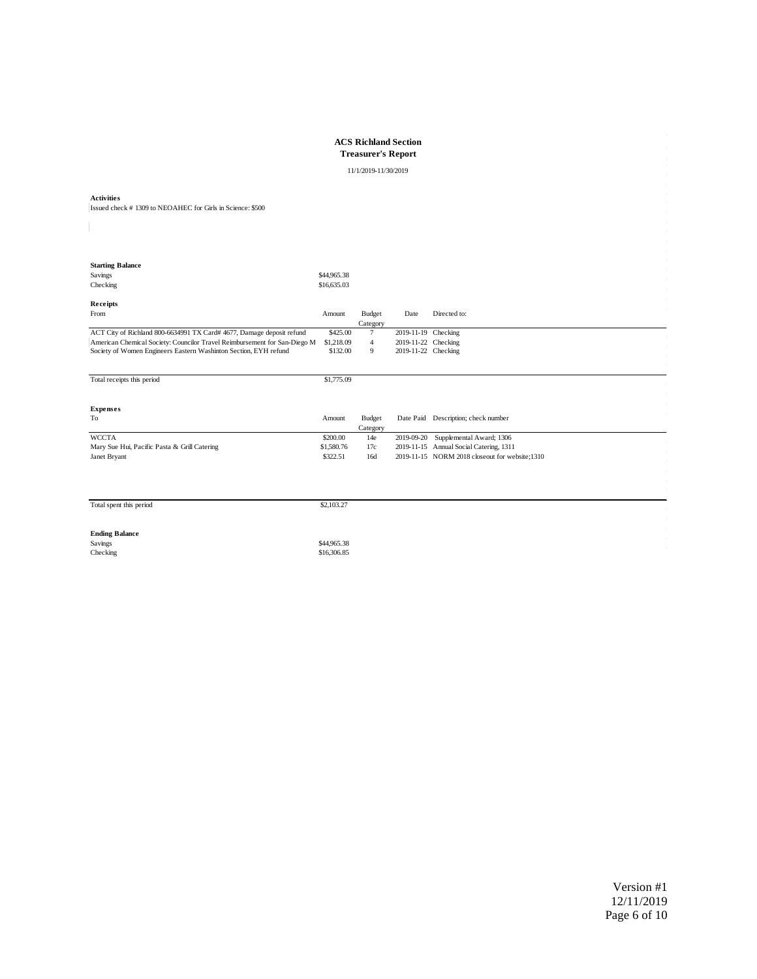**ACS Richland Section Treasurer's Report**

11/1/2019-11/30/2019

**Activities** Issued check # 1309 to NEOAHEC for Girls in Science: \$500

| <b>Starting Balance</b>                                                   |             |                |                     |                                                |
|---------------------------------------------------------------------------|-------------|----------------|---------------------|------------------------------------------------|
| Savings                                                                   | \$44,965.38 |                |                     |                                                |
| Checking                                                                  | \$16,635.03 |                |                     |                                                |
|                                                                           |             |                |                     |                                                |
| Receipts                                                                  |             |                |                     |                                                |
| From                                                                      | Amount      | Budget         | Date                | Directed to:                                   |
|                                                                           |             | Category       |                     |                                                |
| ACT City of Richland 800-6634991 TX Card# 4677, Damage deposit refund     | \$425.00    | $\tau$         | 2019-11-19 Checking |                                                |
| American Chemical Society: Councilor Travel Reimbursement for San-Diego M | \$1,218.09  | $\overline{4}$ | 2019-11-22 Checking |                                                |
| Society of Women Engineers Eastern Washinton Section, EYH refund          | \$132.00    | 9              | 2019-11-22 Checking |                                                |
|                                                                           |             |                |                     |                                                |
|                                                                           |             |                |                     |                                                |
| Total receipts this period                                                | \$1,775.09  |                |                     |                                                |
|                                                                           |             |                |                     |                                                |
|                                                                           |             |                |                     |                                                |
|                                                                           |             |                |                     |                                                |
| <b>Expenses</b>                                                           |             |                |                     |                                                |
| To                                                                        | Amount      | Budget         | Date Paid           | Description; check number                      |
|                                                                           |             | Category       |                     |                                                |
| <b>WCCTA</b>                                                              | \$200.00    | 14e            | 2019-09-20          | Supplemental Award; 1306                       |
| Mary Sue Hui, Pacific Pasta & Grill Catering                              | \$1,580.76  | 17c            | 2019-11-15          | Annual Social Catering, 1311                   |
| Janet Bryant                                                              | \$322.51    | 16d            |                     | 2019-11-15 NORM 2018 closeout for website;1310 |
|                                                                           |             |                |                     |                                                |
|                                                                           |             |                |                     |                                                |
|                                                                           |             |                |                     |                                                |
|                                                                           |             |                |                     |                                                |

|  |  | Total spent this period |
|--|--|-------------------------|
|  |  |                         |

 $\text{S2,103.27}$ 

**Ending Balance**<br>Savings<br>Checking Savings \$44,965.38<br>Checking \$16,306.85 \$16,306.85 \$16,306.85 \$16,306.85 \$16,306.85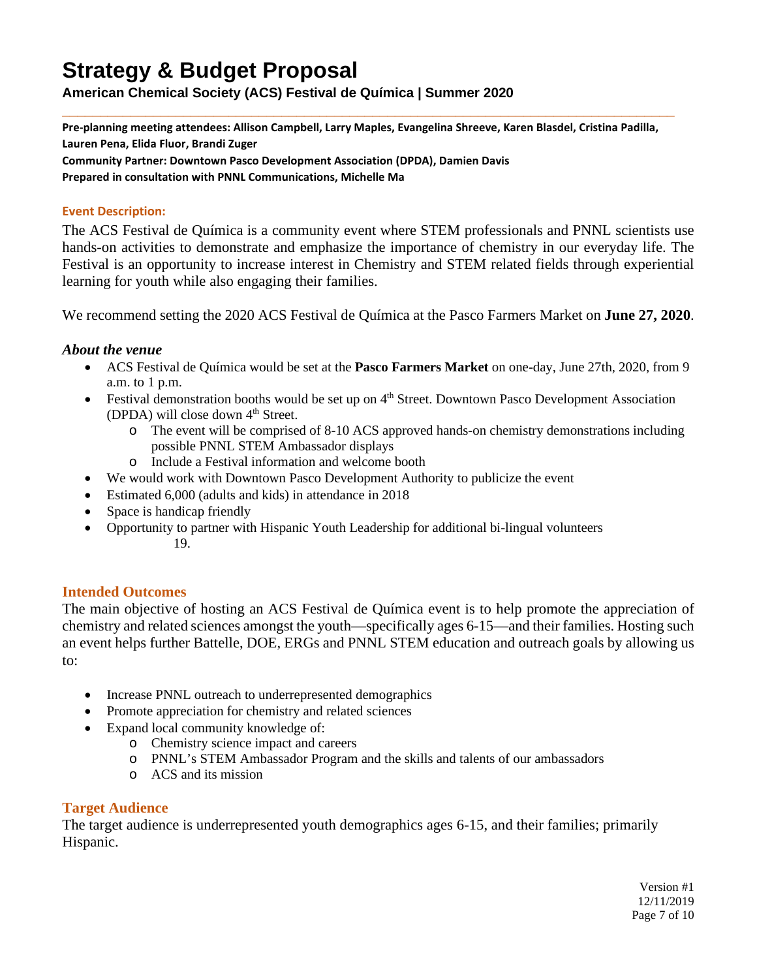# **Strategy & Budget Proposal**

**American Chemical Society (ACS) Festival de Química | Summer 2020**

**\_\_\_\_\_\_\_\_\_\_\_\_\_\_\_\_\_\_\_\_\_\_\_\_\_\_\_\_\_\_\_\_\_\_\_\_\_\_\_\_\_\_\_\_\_\_\_\_\_\_\_\_\_\_\_\_\_\_\_\_\_\_\_\_\_\_\_\_\_\_\_\_\_\_\_\_\_\_\_\_\_ Pre-planning meeting attendees: Allison Campbell, Larry Maples, Evangelina Shreeve, Karen Blasdel, Cristina Padilla,** 

**Lauren Pena, Elida Fluor, Brandi Zuger**

**Community Partner: Downtown Pasco Development Association (DPDA), Damien Davis Prepared in consultation with PNNL Communications, Michelle Ma**

#### **Event Description:**

The ACS Festival de Química is a community event where STEM professionals and PNNL scientists use hands-on activities to demonstrate and emphasize the importance of chemistry in our everyday life. The Festival is an opportunity to increase interest in Chemistry and STEM related fields through experiential learning for youth while also engaging their families.

We recommend setting the 2020 ACS Festival de Química at the Pasco Farmers Market on **June 27, 2020**.

# *About the venue*

- ACS Festival de Química would be set at the **Pasco Farmers Market** on one-day, June 27th, 2020, from 9 a.m. to 1 p.m.
- Festival demonstration booths would be set up on  $4<sup>th</sup>$  Street. Downtown Pasco Development Association (DPDA) will close down  $4<sup>th</sup>$  Street.
	- o The event will be comprised of 8-10 ACS approved hands-on chemistry demonstrations including possible PNNL STEM Ambassador displays
	- o Include a Festival information and welcome booth
- We would work with Downtown Pasco Development Authority to publicize the event
- Estimated 6,000 (adults and kids) in attendance in 2018
- Space is handicap friendly
- Opportunity to partner with Hispanic Youth Leadership for additional bi-lingual volunteers 19.

# **Intended Outcomes**

The main objective of hosting an ACS Festival de Química event is to help promote the appreciation of chemistry and related sciences amongst the youth—specifically ages 6-15—and their families. Hosting such an event helps further Battelle, DOE, ERGs and PNNL STEM education and outreach goals by allowing us to:

- Increase PNNL outreach to underrepresented demographics
- Promote appreciation for chemistry and related sciences
- Expand local community knowledge of:
	- o Chemistry science impact and careers
	- o PNNL's STEM Ambassador Program and the skills and talents of our ambassadors
	- o ACS and its mission

# **Target Audience**

The target audience is underrepresented youth demographics ages 6-15, and their families; primarily Hispanic.

> Version #1 12/11/2019 Page 7 of 10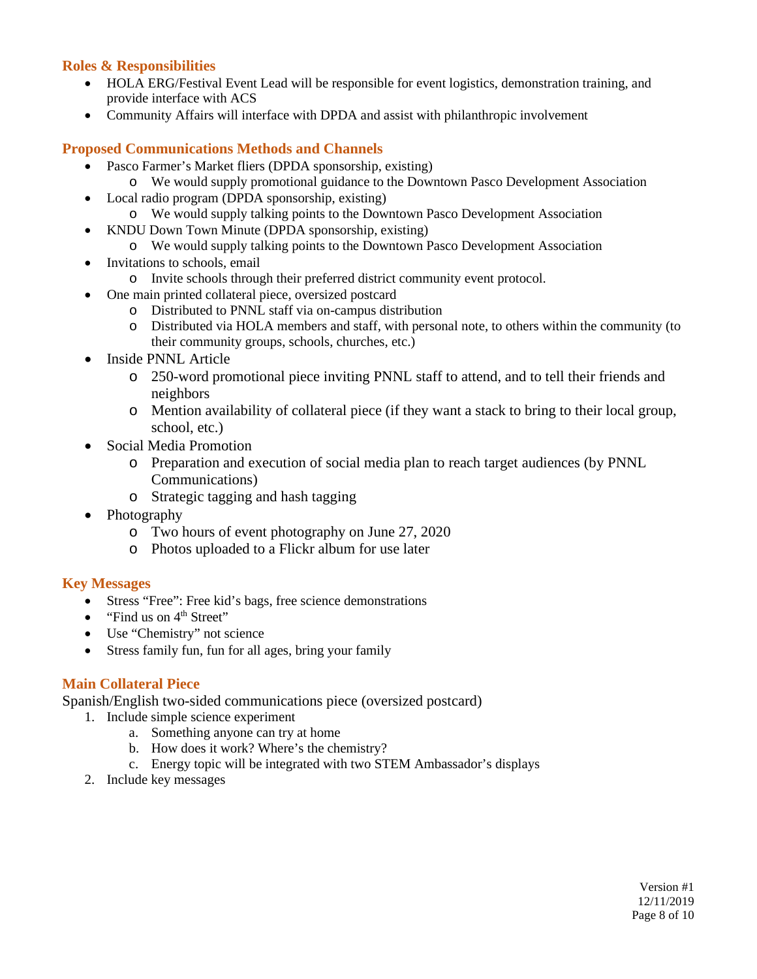# **Roles & Responsibilities**

- HOLA ERG/Festival Event Lead will be responsible for event logistics, demonstration training, and provide interface with ACS
- Community Affairs will interface with DPDA and assist with philanthropic involvement

#### **Proposed Communications Methods and Channels**

- Pasco Farmer's Market fliers (DPDA sponsorship, existing)
	- o We would supply promotional guidance to the Downtown Pasco Development Association
- Local radio program (DPDA sponsorship, existing) o We would supply talking points to the Downtown Pasco Development Association
- KNDU Down Town Minute (DPDA sponsorship, existing)
	- o We would supply talking points to the Downtown Pasco Development Association
- Invitations to schools, email
	- o Invite schools through their preferred district community event protocol.
- One main printed collateral piece, oversized postcard
	- o Distributed to PNNL staff via on-campus distribution
	- o Distributed via HOLA members and staff, with personal note, to others within the community (to their community groups, schools, churches, etc.)
- Inside PNNL Article
	- o 250-word promotional piece inviting PNNL staff to attend, and to tell their friends and neighbors
	- o Mention availability of collateral piece (if they want a stack to bring to their local group, school, etc.)
- Social Media Promotion
	- o Preparation and execution of social media plan to reach target audiences (by PNNL Communications)
	- o Strategic tagging and hash tagging
- Photography
	- o Two hours of event photography on June 27, 2020
	- o Photos uploaded to a Flickr album for use later

#### **Key Messages**

- Stress "Free": Free kid's bags, free science demonstrations
- "Find us on  $4<sup>th</sup>$  Street"
- Use "Chemistry" not science
- Stress family fun, fun for all ages, bring your family

#### **Main Collateral Piece**

Spanish/English two-sided communications piece (oversized postcard)

- 1. Include simple science experiment
	- a. Something anyone can try at home
	- b. How does it work? Where's the chemistry?
	- c. Energy topic will be integrated with two STEM Ambassador's displays
- 2. Include key messages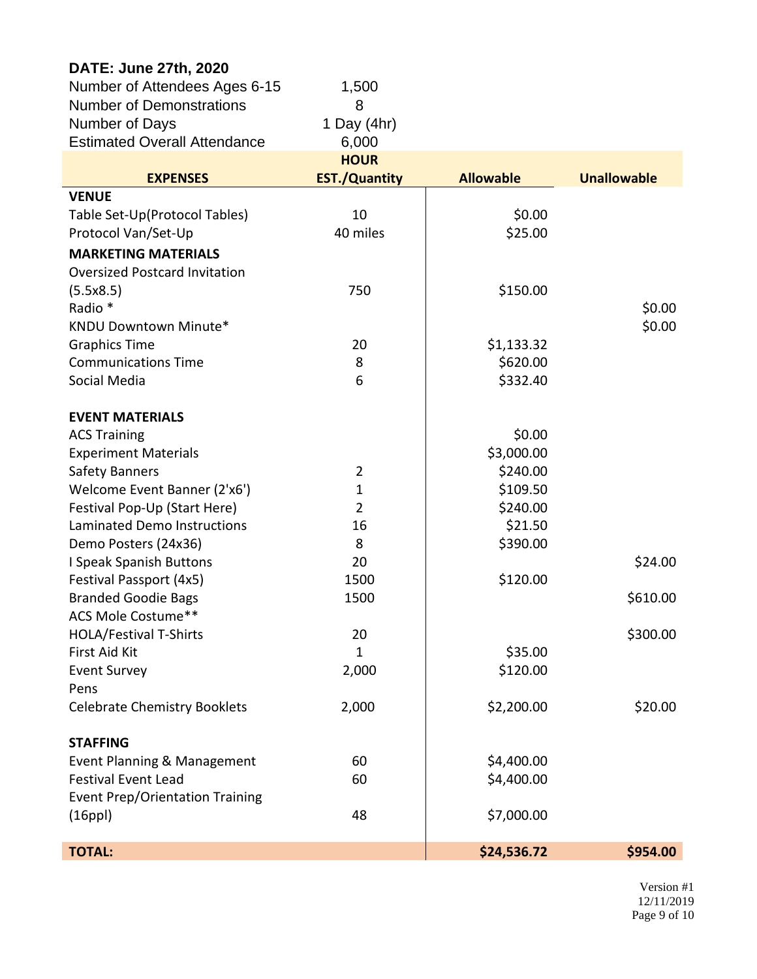| DATE: June 27th, 2020                  |                      |                  |                    |
|----------------------------------------|----------------------|------------------|--------------------|
| Number of Attendees Ages 6-15          | 1,500                |                  |                    |
| <b>Number of Demonstrations</b>        | 8                    |                  |                    |
| Number of Days                         | 1 Day $(4hr)$        |                  |                    |
| <b>Estimated Overall Attendance</b>    | 6,000                |                  |                    |
|                                        | <b>HOUR</b>          |                  |                    |
| <b>EXPENSES</b>                        | <b>EST./Quantity</b> | <b>Allowable</b> | <b>Unallowable</b> |
| <b>VENUE</b>                           |                      |                  |                    |
| Table Set-Up(Protocol Tables)          | 10                   | \$0.00           |                    |
| Protocol Van/Set-Up                    | 40 miles             | \$25.00          |                    |
| <b>MARKETING MATERIALS</b>             |                      |                  |                    |
| <b>Oversized Postcard Invitation</b>   |                      |                  |                    |
| (5.5x8.5)                              | 750                  | \$150.00         |                    |
| Radio *                                |                      |                  | \$0.00             |
| KNDU Downtown Minute*                  |                      |                  | \$0.00             |
| <b>Graphics Time</b>                   | 20                   | \$1,133.32       |                    |
| <b>Communications Time</b>             | 8                    | \$620.00         |                    |
| Social Media                           | 6                    | \$332.40         |                    |
| <b>EVENT MATERIALS</b>                 |                      |                  |                    |
| <b>ACS Training</b>                    |                      | \$0.00           |                    |
| <b>Experiment Materials</b>            |                      | \$3,000.00       |                    |
| <b>Safety Banners</b>                  | $\overline{2}$       | \$240.00         |                    |
| Welcome Event Banner (2'x6')           | $\mathbf{1}$         | \$109.50         |                    |
| Festival Pop-Up (Start Here)           | $\overline{2}$       | \$240.00         |                    |
| Laminated Demo Instructions            | 16                   | \$21.50          |                    |
| Demo Posters (24x36)                   | 8                    | \$390.00         |                    |
| I Speak Spanish Buttons                | 20                   |                  | \$24.00            |
| Festival Passport (4x5)                | 1500                 | \$120.00         |                    |
| <b>Branded Goodie Bags</b>             | 1500                 |                  | \$610.00           |
| ACS Mole Costume**                     |                      |                  |                    |
| <b>HOLA/Festival T-Shirts</b>          | 20                   |                  | \$300.00           |
| First Aid Kit                          | $\mathbf{1}$         | \$35.00          |                    |
| <b>Event Survey</b>                    | 2,000                | \$120.00         |                    |
| Pens                                   |                      |                  |                    |
| <b>Celebrate Chemistry Booklets</b>    | 2,000                | \$2,200.00       | \$20.00            |
| <b>STAFFING</b>                        |                      |                  |                    |
| Event Planning & Management            | 60                   | \$4,400.00       |                    |
| <b>Festival Event Lead</b>             | 60                   | \$4,400.00       |                    |
| <b>Event Prep/Orientation Training</b> |                      |                  |                    |
| (16ppl)                                | 48                   | \$7,000.00       |                    |
|                                        |                      |                  |                    |
| <b>TOTAL:</b>                          |                      | \$24,536.72      | \$954.00           |

Version #1 12/11/2019 Page 9 of 10